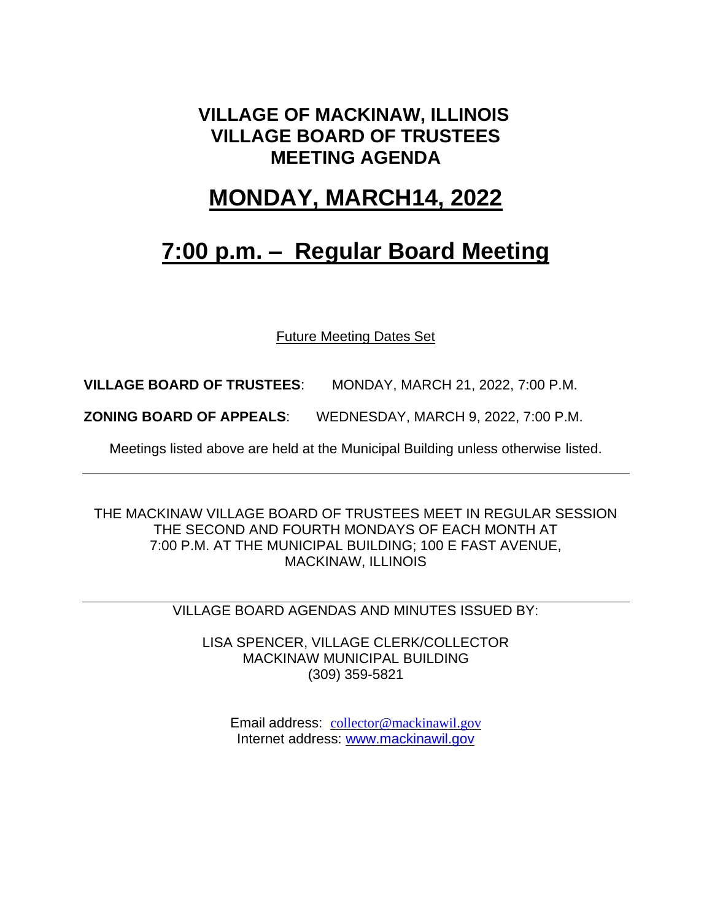### **VILLAGE OF MACKINAW, ILLINOIS VILLAGE BOARD OF TRUSTEES MEETING AGENDA**

### **MONDAY, MARCH14, 2022**

## **7:00 p.m. – Regular Board Meeting**

Future Meeting Dates Set

**VILLAGE BOARD OF TRUSTEES**: MONDAY, MARCH 21, 2022, 7:00 P.M.

**ZONING BOARD OF APPEALS**: WEDNESDAY, MARCH 9, 2022, 7:00 P.M.

Meetings listed above are held at the Municipal Building unless otherwise listed.

THE MACKINAW VILLAGE BOARD OF TRUSTEES MEET IN REGULAR SESSION THE SECOND AND FOURTH MONDAYS OF EACH MONTH AT 7:00 P.M. AT THE MUNICIPAL BUILDING; 100 E FAST AVENUE, MACKINAW, ILLINOIS

VILLAGE BOARD AGENDAS AND MINUTES ISSUED BY:

LISA SPENCER, VILLAGE CLERK/COLLECTOR MACKINAW MUNICIPAL BUILDING (309) 359-5821

Email address: [collector@mackinawil.gov](mailto:collector@mackinawil.gov) Internet address: [www.mackinawil.gov](http://www.mackinawil.gov/)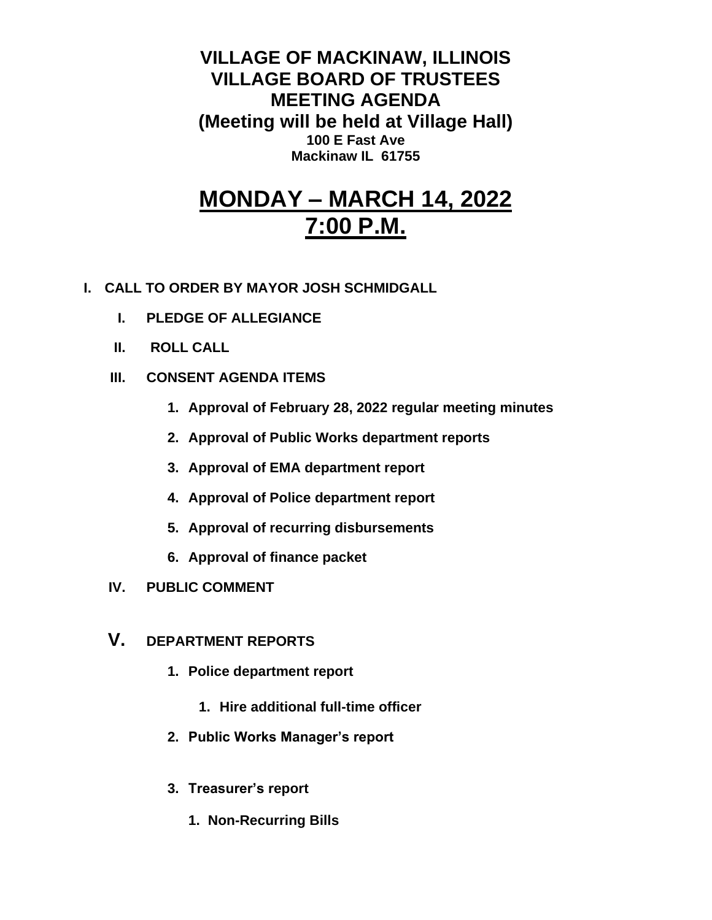**VILLAGE OF MACKINAW, ILLINOIS VILLAGE BOARD OF TRUSTEES MEETING AGENDA (Meeting will be held at Village Hall) 100 E Fast Ave Mackinaw IL 61755**

# **MONDAY – MARCH 14, 2022 7:00 P.M.**

- **I. CALL TO ORDER BY MAYOR JOSH SCHMIDGALL**
	- **I. PLEDGE OF ALLEGIANCE**
	- **II. ROLL CALL**
	- **III. CONSENT AGENDA ITEMS** 
		- **1. Approval of February 28, 2022 regular meeting minutes**
		- **2. Approval of Public Works department reports**
		- **3. Approval of EMA department report**
		- **4. Approval of Police department report**
		- **5. Approval of recurring disbursements**
		- **6. Approval of finance packet**
	- **IV. PUBLIC COMMENT**
	- **V. DEPARTMENT REPORTS** 
		- **1. Police department report**
			- **1. Hire additional full-time officer**
		- **2. Public Works Manager's report**
		- **3. Treasurer's report** 
			- **1. Non-Recurring Bills**